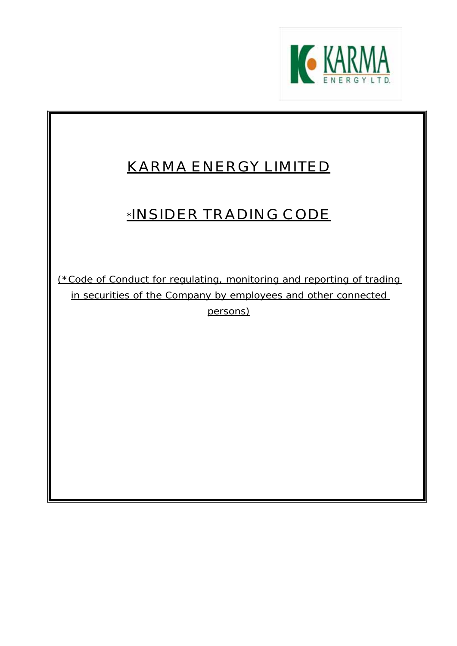

# **KARMA ENERGY LIMITED**

# **\*INSIDER TRADING CODE**

(\*Code of Conduct for regulating, monitoring and reporting of trading in securities of the Company by employees and other connected persons)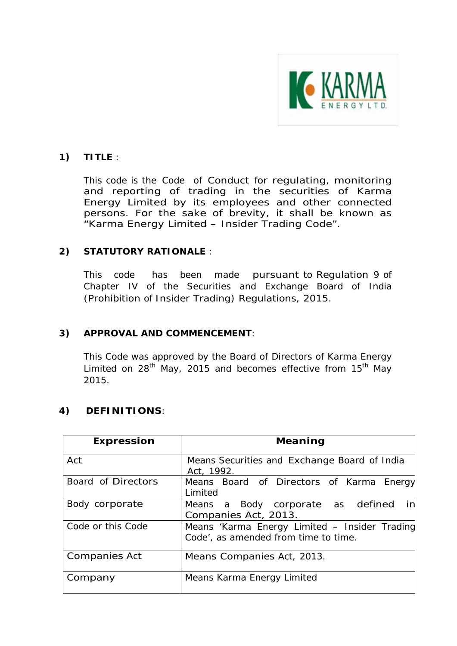

# **1) TITLE** :

This code is the Code of Conduct for regulating, monitoring and reporting of trading in the securities of Karma Energy Limited by its employees and other connected persons. For the sake of brevity, it shall be known as "Karma Energy Limited – Insider Trading Code".

# **2) STATUTORY RATIONALE** :

This code has been made pursuant to Regulation 9 of Chapter IV of the Securities and Exchange Board of India (Prohibition of Insider Trading) Regulations, 2015.

### **3) APPROVAL AND COMMENCEMENT**:

This Code was approved by the Board of Directors of Karma Energy Limited on  $28^{th}$  May, 2015 and becomes effective from 15<sup>th</sup> May 2015.

### **4) DEFINITIONS**:

| <b>Expression</b>    | Meaning                                                                               |  |  |  |  |  |  |  |  |  |  |  |
|----------------------|---------------------------------------------------------------------------------------|--|--|--|--|--|--|--|--|--|--|--|
| Act                  | Means Securities and Exchange Board of India<br>Act, 1992.                            |  |  |  |  |  |  |  |  |  |  |  |
| Board of Directors   | Means Board of Directors of Karma Energy<br>Limited                                   |  |  |  |  |  |  |  |  |  |  |  |
| Body corporate       | Means a Body corporate as defined<br>in<br>Companies Act, 2013.                       |  |  |  |  |  |  |  |  |  |  |  |
| Code or this Code    | Means 'Karma Energy Limited - Insider Trading<br>Code', as amended from time to time. |  |  |  |  |  |  |  |  |  |  |  |
| <b>Companies Act</b> | Means Companies Act, 2013.                                                            |  |  |  |  |  |  |  |  |  |  |  |
| Company              | Means Karma Energy Limited                                                            |  |  |  |  |  |  |  |  |  |  |  |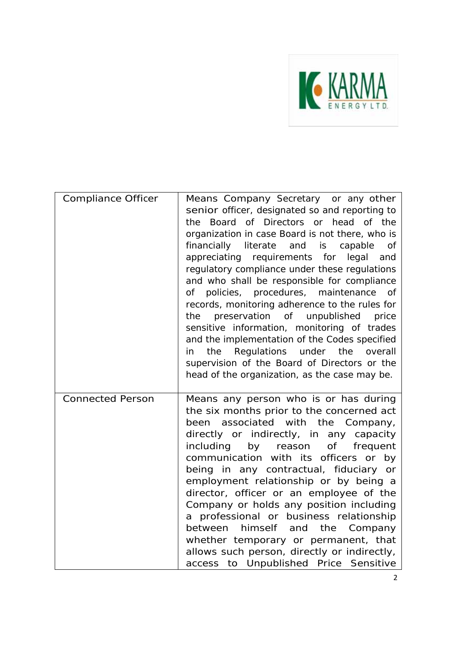

| <b>Compliance Officer</b> | Means Company Secretary or any other<br>senior officer, designated so and reporting to<br>Board of Directors or head of the<br>the<br>organization in case Board is not there, who is<br>financially literate<br>and is<br>capable<br><b>of</b><br>appreciating requirements for legal<br>and<br>regulatory compliance under these regulations<br>and who shall be responsible for compliance<br>policies, procedures, maintenance<br>of<br>of<br>records, monitoring adherence to the rules for<br>preservation of unpublished<br>price<br>the<br>sensitive information, monitoring of trades<br>and the implementation of the Codes specified<br>Regulations under the<br>the<br>overall<br>in<br>supervision of the Board of Directors or the<br>head of the organization, as the case may be. |
|---------------------------|---------------------------------------------------------------------------------------------------------------------------------------------------------------------------------------------------------------------------------------------------------------------------------------------------------------------------------------------------------------------------------------------------------------------------------------------------------------------------------------------------------------------------------------------------------------------------------------------------------------------------------------------------------------------------------------------------------------------------------------------------------------------------------------------------|
| <b>Connected Person</b>   | Means any person who is or has during<br>the six months prior to the concerned act<br>been associated with the Company,<br>directly or indirectly, in any capacity<br>including<br>of<br>by reason<br>frequent<br>communication with its officers or by<br>being in any contractual, fiduciary or<br>employment relationship or by being a<br>director, officer or an employee of the<br>Company or holds any position including<br>a professional or business relationship<br>between himself and the Company<br>whether temporary or permanent, that<br>allows such person, directly or indirectly,<br>access to Unpublished Price Sensitive                                                                                                                                                    |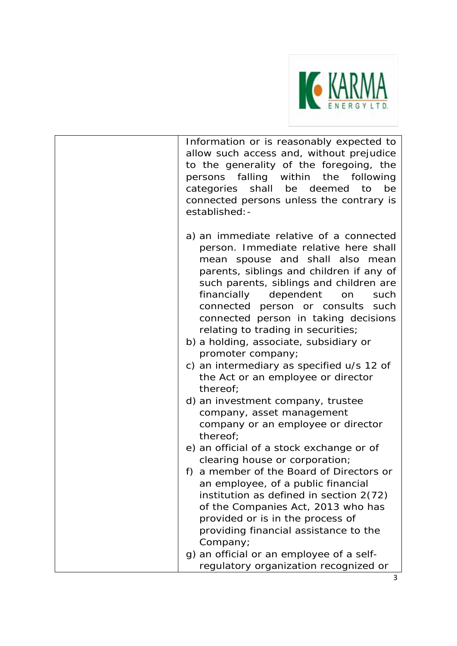

Information or is reasonably expected to allow such access and, without prejudice to the generality of the foregoing, the persons falling within the following categories shall be deemed to be connected persons unless the contrary is established:-

- a) an immediate relative of a connected person. Immediate relative here shall mean spouse and shall also mean parents, siblings and children if any of such parents, siblings and children are financially dependent on such connected person or consults such connected person in taking decisions relating to trading in securities;
- b) a holding, associate, subsidiary or promoter company;
- c) an intermediary as specified u/s 12 of the Act or an employee or director thereof;
- d) an investment company, trustee company, asset management company or an employee or director thereof;
- e) an official of a stock exchange or of clearing house or corporation;
- f) a member of the Board of Directors or an employee, of a public financial institution as defined in section 2(72) of the Companies Act, 2013 who has provided or is in the process of providing financial assistance to the Company;
- g) an official or an employee of a selfregulatory organization recognized or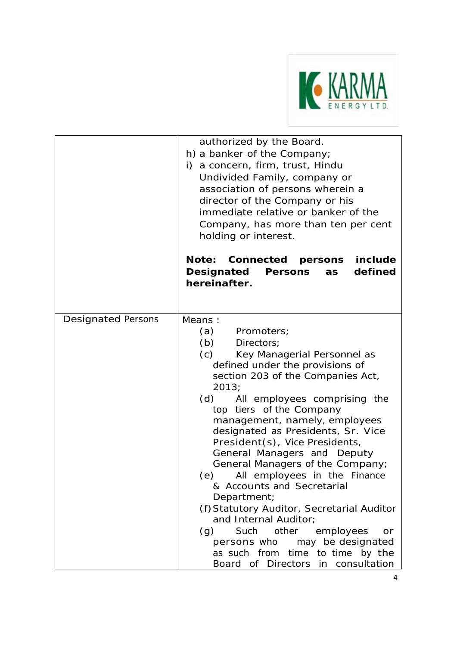

|                           | authorized by the Board.<br>h) a banker of the Company;<br>i) a concern, firm, trust, Hindu<br>Undivided Family, company or<br>association of persons wherein a<br>director of the Company or his<br>immediate relative or banker of the<br>Company, has more than ten per cent<br>holding or interest.<br>include<br>Note: Connected persons<br>defined<br>Designated<br><b>Persons</b><br>as<br>hereinafter.                                                                                                                                                                                                                                                                                                                       |
|---------------------------|--------------------------------------------------------------------------------------------------------------------------------------------------------------------------------------------------------------------------------------------------------------------------------------------------------------------------------------------------------------------------------------------------------------------------------------------------------------------------------------------------------------------------------------------------------------------------------------------------------------------------------------------------------------------------------------------------------------------------------------|
| <b>Designated Persons</b> | Means:<br>(a)<br>Promoters;<br>(b)<br>Directors:<br>(c)<br>Key Managerial Personnel as<br>defined under the provisions of<br>section 203 of the Companies Act,<br>2013;<br>All employees comprising the<br>(d)<br>top tiers of the Company<br>management, namely, employees<br>designated as Presidents, Sr. Vice<br>President(s), Vice Presidents,<br>General Managers and Deputy<br>General Managers of the Company;<br>All employees in the Finance<br>(e)<br>& Accounts and Secretarial<br>Department;<br>(f) Statutory Auditor, Secretarial Auditor<br>and Internal Auditor;<br>Such other<br>employees<br>(g)<br>or<br>persons who may be designated<br>as such from time to time by the<br>Board of Directors in consultation |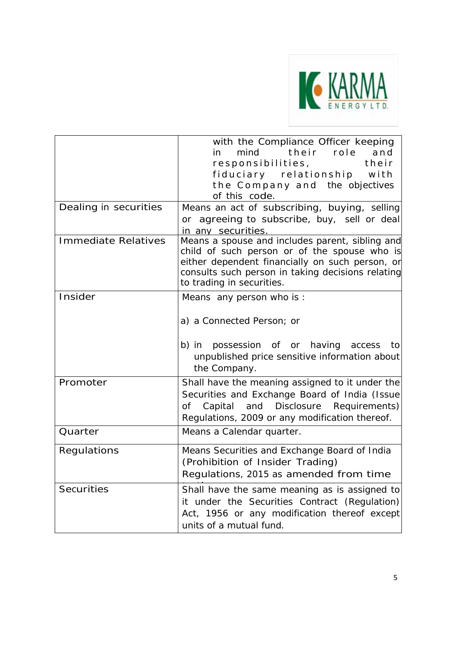

|                            | with the Compliance Officer keeping<br>their role<br>mind<br>and<br>in<br>responsibilities,<br>their<br>fiduciary relationship with<br>the Company and the objectives<br>of this code.                                               |
|----------------------------|--------------------------------------------------------------------------------------------------------------------------------------------------------------------------------------------------------------------------------------|
| Dealing in securities      | Means an act of subscribing, buying, selling<br>or agreeing to subscribe, buy, sell or deal<br>in any securities.                                                                                                                    |
| <b>Immediate Relatives</b> | Means a spouse and includes parent, sibling and<br>child of such person or of the spouse who is<br>either dependent financially on such person, or<br>consults such person in taking decisions relating<br>to trading in securities. |
| Insider                    | Means any person who is:<br>a) a Connected Person; or<br>b) in possession of or having<br>access<br>to<br>unpublished price sensitive information about<br>the Company.                                                              |
| Promoter                   | Shall have the meaning assigned to it under the<br>Securities and Exchange Board of India (Issue<br>and Disclosure<br>Requirements)<br>Capital<br>of<br>Regulations, 2009 or any modification thereof.                               |
| Quarter                    | Means a Calendar quarter.                                                                                                                                                                                                            |
| Regulations                | Means Securities and Exchange Board of India<br>(Prohibition of Insider Trading)<br>Regulations, 2015 as amended from time                                                                                                           |
| <b>Securities</b>          | Shall have the same meaning as is assigned to<br>it under the Securities Contract (Regulation)<br>Act, 1956 or any modification thereof except<br>units of a mutual fund.                                                            |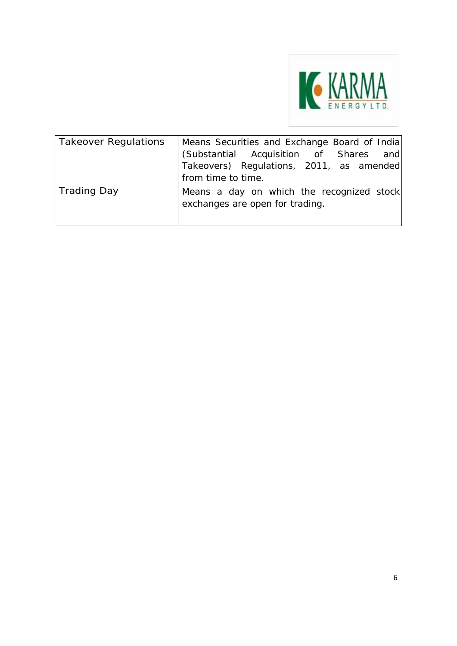

| <b>Takeover Regulations</b> | Means Securities and Exchange Board of India<br>(Substantial Acquisition of Shares and<br>Takeovers) Regulations, 2011, as amended<br>from time to time. |
|-----------------------------|----------------------------------------------------------------------------------------------------------------------------------------------------------|
| Trading Day                 | Means a day on which the recognized stock<br>exchanges are open for trading.                                                                             |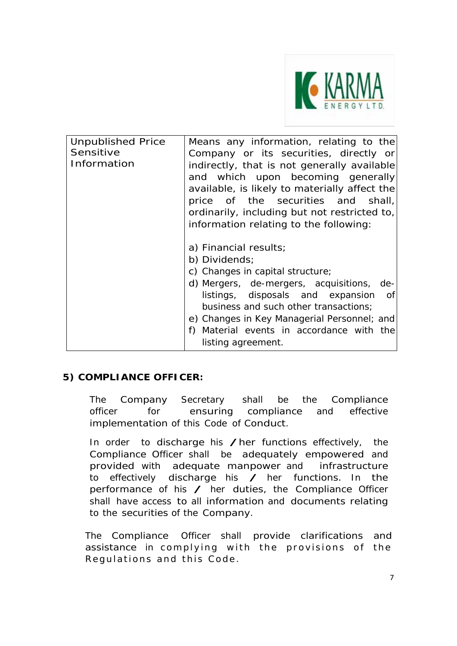

| <b>Unpublished Price</b> | Means any information, relating to the        |
|--------------------------|-----------------------------------------------|
| Sensitive                | Company or its securities, directly or        |
| Information              | indirectly, that is not generally available   |
|                          | and which upon becoming generally             |
|                          | available, is likely to materially affect the |
|                          | price of the securities and shall,            |
|                          | ordinarily, including but not restricted to,  |
|                          | information relating to the following:        |
|                          |                                               |
|                          | a) Financial results;                         |
|                          | b) Dividends;                                 |
|                          | c) Changes in capital structure;              |
|                          | d) Mergers, de-mergers, acquisitions, de-     |
|                          | listings, disposals and expansion of          |
|                          | business and such other transactions;         |
|                          | e) Changes in Key Managerial Personnel; and   |
|                          | Material events in accordance with the<br>f)  |
|                          | listing agreement.                            |

# **5) COMPLIANCE OFFICER:**

The Company Secretary shall be the Compliance officer for ensuring compliance and effective implementation of this Code of Conduct.

In order to discharge his /her functions effectively, the Compliance Officer shall be adequately empowered and provided with adequate manpower and infrastructure to effectively discharge his  $\angle$  her functions. In the performance of his  $\angle$  her duties, the Compliance Officer shall have access to all information and documents relating to the securities of the Company.

The Compliance Officer shall provide clarifications and assistance in complying with the provisions of the Regulations and this Code.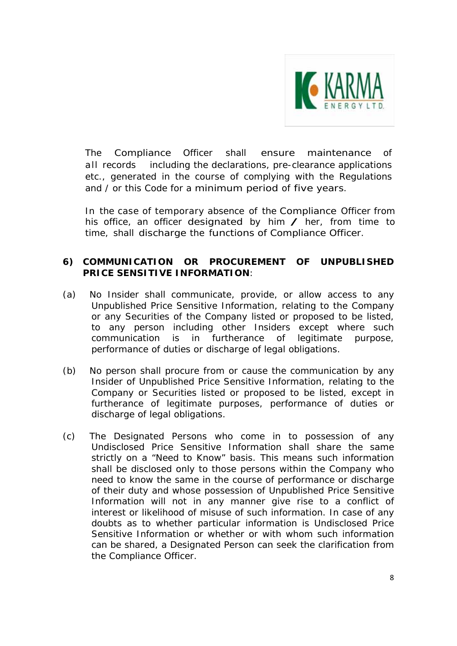

The Compliance Officer shall ensure maintenance of all records including the declarations, pre-clearance applications etc., generated in the course of complying with the Regulations and / or this Code for a minimum period of five years.

In the case of temporary absence of the Compliance Officer from his office, an officer designated by him  $\angle$  her, from time to time, shall discharge the functions of Compliance Officer.

## **6) COMMUNICATION OR PROCUREMENT OF UNPUBLISHED PRICE SENSITIVE INFORMATION**:

- (a) No Insider shall communicate, provide, or allow access to any Unpublished Price Sensitive Information, relating to the Company or any Securities of the Company listed or proposed to be listed, to any person including other Insiders except where such communication is in furtherance of legitimate purpose, performance of duties or discharge of legal obligations.
- (b) No person shall procure from or cause the communication by any Insider of Unpublished Price Sensitive Information, relating to the Company or Securities listed or proposed to be listed, except in furtherance of legitimate purposes, performance of duties or discharge of legal obligations.
- (c) The Designated Persons who come in to possession of any Undisclosed Price Sensitive Information shall share the same strictly on a "Need to Know" basis. This means such information shall be disclosed only to those persons within the Company who need to know the same in the course of performance or discharge of their duty and whose possession of Unpublished Price Sensitive Information will not in any manner give rise to a conflict of interest or likelihood of misuse of such information. In case of any doubts as to whether particular information is Undisclosed Price Sensitive Information or whether or with whom such information can be shared, a Designated Person can seek the clarification from the Compliance Officer.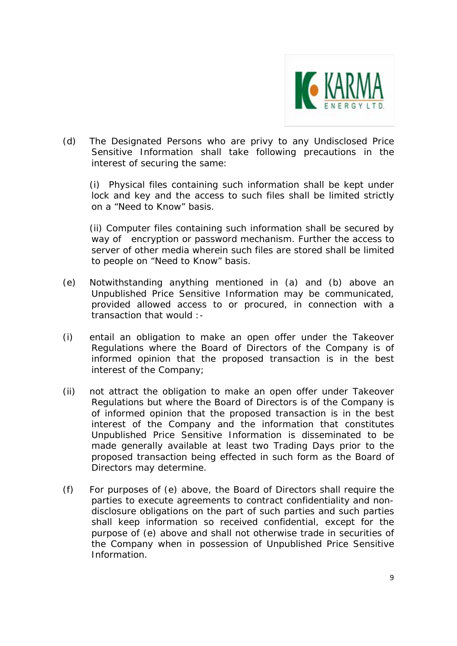

(d) The Designated Persons who are privy to any Undisclosed Price Sensitive Information shall take following precautions in the interest of securing the same:

(i) Physical files containing such information shall be kept under lock and key and the access to such files shall be limited strictly on a "Need to Know" basis.

(ii) Computer files containing such information shall be secured by way of encryption or password mechanism. Further the access to server of other media wherein such files are stored shall be limited to people on "Need to Know" basis.

- (e) Notwithstanding anything mentioned in (a) and (b) above an Unpublished Price Sensitive Information may be communicated, provided allowed access to or procured, in connection with a transaction that would :-
- (i) entail an obligation to make an open offer under the Takeover Regulations where the Board of Directors of the Company is of informed opinion that the proposed transaction is in the best interest of the Company;
- (ii) not attract the obligation to make an open offer under Takeover Regulations but where the Board of Directors is of the Company is of informed opinion that the proposed transaction is in the best interest of the Company and the information that constitutes Unpublished Price Sensitive Information is disseminated to be made generally available at least two Trading Days prior to the proposed transaction being effected in such form as the Board of Directors may determine.
- (f) For purposes of (e) above, the Board of Directors shall require the parties to execute agreements to contract confidentiality and nondisclosure obligations on the part of such parties and such parties shall keep information so received confidential, except for the purpose of (e) above and shall not otherwise trade in securities of the Company when in possession of Unpublished Price Sensitive Information.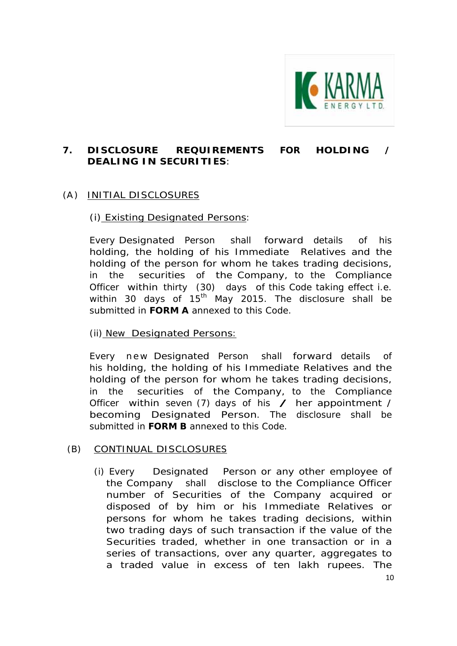

# **7. DISCLOSURE REQUIREMENTS FOR HOLDING / DEALING IN SECURITIES**:

# (A ) INITIAL DISCLOSURES

## (i) Existing Designated Persons:

Every Designated Person shall forward details of his holding, the holding of his Immediate Relatives and the holding of the person for whom he takes trading decisions, in the securities of the Company, to the Compliance Officer within thirty (30) days of this Code taking effect i.e. within 30 days of  $15<sup>th</sup>$  May 2015. The disclosure shall be submitted in **FORM A** annexed to this Code.

### (ii) New Designated Persons:

Every new Designated Person shall forward details of his holding, the holding of his Immediate Relatives and the holding of the person for whom he takes trading decisions, in the securities of the Company, to the Compliance Officer within seven (7) days of his  $\angle$  her appointment / becoming Designated Person. The disclosure shall be submitted in **FORM B** annexed to this Code.

### (B) CONTINUAL DISCLOSURES

(i) Every Designated Person or any other employee of the Company shall disclose to the Compliance Officer number of Securities of the Company acquired or disposed of by him or his Immediate Relatives or persons for whom he takes trading decisions, within two trading days of such transaction if the value of the Securities traded, whether in one transaction or in a series of transactions, over any quarter, aggregates to a traded value in excess of ten lakh rupees. The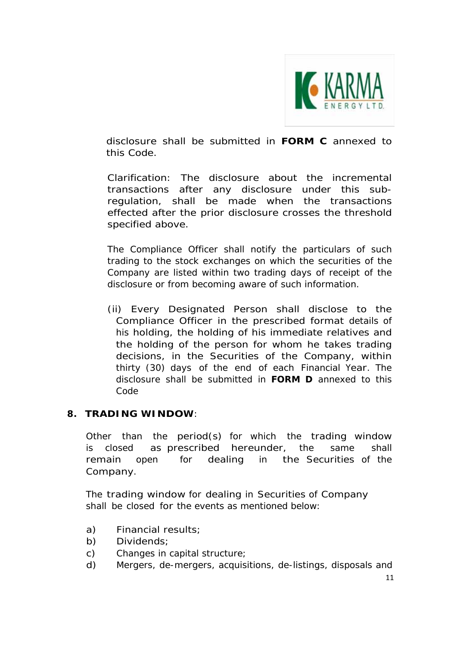

disclosure shall be submitted in **FORM C** annexed to this Code.

*Clarification: The disclosure about the incremental transactions after any disclosure under this subregulation, shall be made when the transactions effected after the prior disclosure crosses the threshold specified above.*

The Compliance Officer shall notify the particulars of such trading to the stock exchanges on which the securities of the Company are listed within two trading days of receipt of the disclosure or from becoming aware of such information.

(ii) Every Designated Person shall disclose to the Compliance Officer in the prescribed format details of his holding, the holding of his immediate relatives and the holding of the person for whom he takes trading decisions, in the Securities of the Company, within thirty (30) days of the end of each Financial Year. The disclosure shall be submitted in **FORM D** annexed to this Code

# **8. TRADING WINDOW**:

Other than the period(s) for which the trading window is closed as prescribed hereunder, the same shall remain open for dealing in the Securities of the Company.

The trading window for dealing in Securities of Company shall be closed for the events as mentioned below:

- a) Financial results;
- b) Dividends;
- c) Changes in capital structure;
- d) Mergers, de-mergers, acquisitions, de-listings, disposals and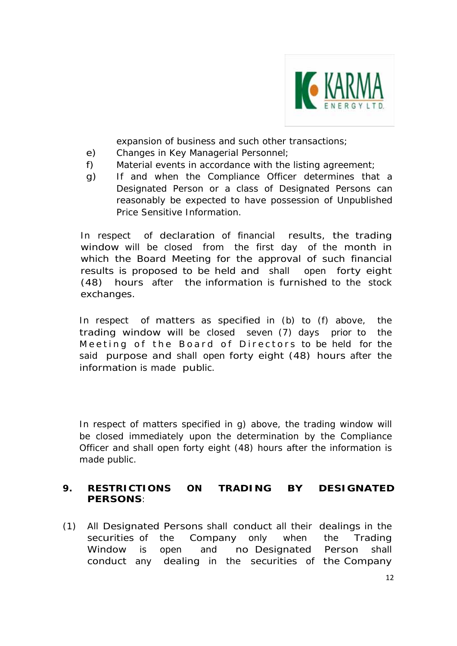

expansion of business and such other transactions;

- e) Changes in Key Managerial Personnel;
- f) Material events in accordance with the listing agreement;
- g) If and when the Compliance Officer determines that a Designated Person or a class of Designated Persons can reasonably be expected to have possession of Unpublished Price Sensitive Information.

In respect of declaration of financial results, the trading window will be closed from the first day of the month in which the Board Meeting for the approval of such financial results is proposed to be held and shall open forty eight (48) hours after the information is furnished to the stock exchanges.

In respect of matters as specified in (b) to (f) above, the trading window will be closed seven (7) days prior to the Meeting of the Board of Directors to be held for the said purpose and shall open forty eight (48) hours after the information is made public.

In respect of matters specified in g) above, the trading window will be closed immediately upon the determination by the Compliance Officer and shall open forty eight (48) hours after the information is made public.

# **9. RESTRICTIONS ON TRADING BY DESIGNATED PERSONS**:

(1) All Designated Persons shall conduct all their dealings in the securities of the Company only when the Trading Window is open and no Designated Person shall conduct any dealing in the securities of the Company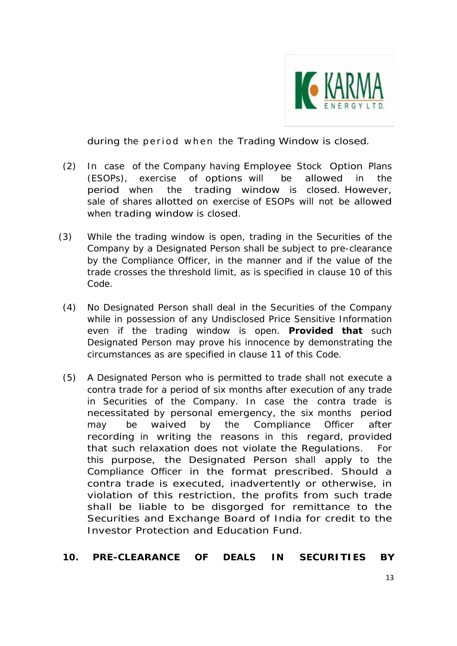

during the period when the Trading Window is closed.

- (2) In case of the Company having Employee Stock Option Plans (ESOPs), exercise of options will be allowed in the period when the trading window is closed. However, sale of shares allotted on exercise of ESOPs will not be allowed when trading window is closed.
- (3) While the trading window is open, trading in the Securities of the Company by a Designated Person shall be subject to pre-clearance by the Compliance Officer, in the manner and if the value of the trade crosses the threshold limit, as is specified in clause 10 of this Code.
- (4) No Designated Person shall deal in the Securities of the Company while in possession of any Undisclosed Price Sensitive Information even if the trading window is open. **Provided that** such Designated Person may prove his innocence by demonstrating the circumstances as are specified in clause 11 of this Code.
- (5) A Designated Person who is permitted to trade shall not execute a contra trade for a period of six months after execution of any trade in Securities of the Company. In case the contra trade is necessitated by personal emergency, the six months period may be waived by the Compliance Officer after recording in writing the reasons in this regard, provided that such relaxation does not violate the Regulations. For this purpose, the Designated Person shall apply to the Compliance Officer in the format prescribed. Should a contra trade is executed, inadvertently or otherwise, in violation of this restriction, the profits from such trade shall be liable to be disgorged for remittance to the Securities and Exchange Board of India for credit to the Investor Protection and Education Fund.

# **10. PRE-CLEARANCE OF DEALS IN SECURITIES BY**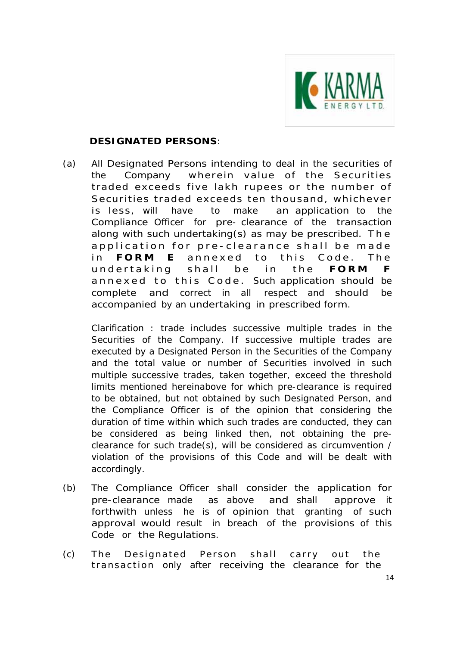

## **DESIGNATED PERSONS**:

(a) All Designated Persons intending to deal in the securities of the Company wherein value of the Securities traded exceeds five lakh rupees or the number of Securities traded exceeds ten thousand, whichever is less, will have to make an application to the Compliance Officer for pre- clearance of the transaction along with such undertaking(s) as may be prescribed. T h e application for pre-clearance shall be made in **FORM E** annexed to this Code. The undertaking shal l be in the **FORM F** annexed to this Code. Such application should be complete and correct in all respect and should be accompanied by an undertaking in prescribed form.

 *Clarification : trade includes successive multiple trades in the Securities of the Company. If successive multiple trades are executed by a Designated Person in the Securities of the Company and the total value or number of Securities involved in such multiple successive trades, taken together, exceed the threshold limits mentioned hereinabove for which pre-clearance is required to be obtained, but not obtained by such Designated Person, and the Compliance Officer is of the opinion that considering the duration of time within which such trades are conducted, they can be considered as being linked then, not obtaining the preclearance for such trade(s), will be considered as circumvention / violation of the provisions of this Code and will be dealt with accordingly.* 

- (b) The Compliance Officer shall consider the application for pre-clearance made as above and shall approve it forthwith unless he is of opinion that granting of such approval would result in breach of the provisions of this Code or the Regulations.
- (c) The Designated Person shall carry out the transaction only after receiving the clearance for the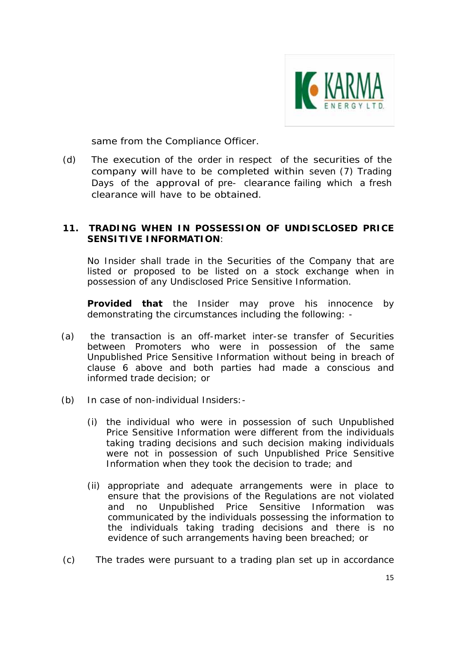

same from the Compliance Officer.

(d) The execution of the order in respect of the securities of the company will have to be completed within seven (7) Trading Days of the approval of pre- clearance failing which a fresh clearance will have to be obtained.

#### **11. TRADING WHEN IN POSSESSION OF UNDISCLOSED PRICE SENSITIVE INFORMATION**:

No Insider shall trade in the Securities of the Company that are listed or proposed to be listed on a stock exchange when in possession of any Undisclosed Price Sensitive Information.

**Provided that** the Insider may prove his innocence by demonstrating the circumstances including the following: -

- (a) the transaction is an off-market *inter-se* transfer of Securities between Promoters who were in possession of the same Unpublished Price Sensitive Information without being in breach of clause 6 above and both parties had made a conscious and informed trade decision; or
- (b) In case of non-individual Insiders:-
	- (i) the individual who were in possession of such Unpublished Price Sensitive Information were different from the individuals taking trading decisions and such decision making individuals were not in possession of such Unpublished Price Sensitive Information when they took the decision to trade; and
	- (ii) appropriate and adequate arrangements were in place to ensure that the provisions of the Regulations are not violated and no Unpublished Price Sensitive Information was communicated by the individuals possessing the information to the individuals taking trading decisions and there is no evidence of such arrangements having been breached; or
- (c) The trades were pursuant to a trading plan set up in accordance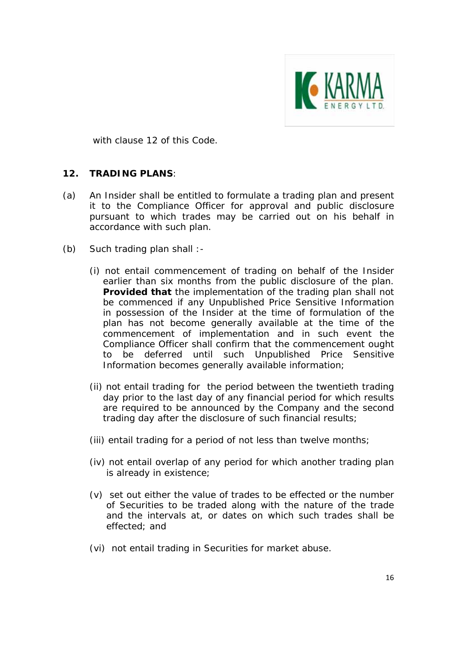

with clause 12 of this Code.

### **12. TRADING PLANS**:

- (a) An Insider shall be entitled to formulate a trading plan and present it to the Compliance Officer for approval and public disclosure pursuant to which trades may be carried out on his behalf in accordance with such plan.
- (b) Such trading plan shall :-
	- (i) not entail commencement of trading on behalf of the Insider earlier than six months from the public disclosure of the plan. **Provided that** the implementation of the trading plan shall not be commenced if any Unpublished Price Sensitive Information in possession of the Insider at the time of formulation of the plan has not become generally available at the time of the commencement of implementation and in such event the Compliance Officer shall confirm that the commencement ought to be deferred until such Unpublished Price Sensitive Information becomes generally available information;
	- (ii) not entail trading for the period between the twentieth trading day prior to the last day of any financial period for which results are required to be announced by the Company and the second trading day after the disclosure of such financial results;
	- (iii) entail trading for a period of not less than twelve months;
	- (iv) not entail overlap of any period for which another trading plan is already in existence;
	- (v) set out either the value of trades to be effected or the number of Securities to be traded along with the nature of the trade and the intervals at, or dates on which such trades shall be effected; and
	- (vi) not entail trading in Securities for market abuse.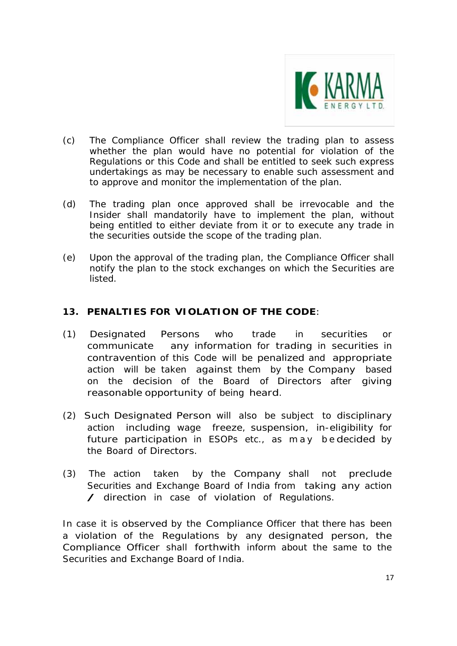

- (c) The Compliance Officer shall review the trading plan to assess whether the plan would have no potential for violation of the Regulations or this Code and shall be entitled to seek such express undertakings as may be necessary to enable such assessment and to approve and monitor the implementation of the plan.
- (d) The trading plan once approved shall be irrevocable and the Insider shall mandatorily have to implement the plan, without being entitled to either deviate from it or to execute any trade in the securities outside the scope of the trading plan.
- (e) Upon the approval of the trading plan, the Compliance Officer shall notify the plan to the stock exchanges on which the Securities are listed.

# **13. PENALTIES FOR VIOLATION OF THE CODE**:

- (1) Designated Persons who trade in securities or communicate any information for trading in securities in contravention of this Code will be penalized and appropriate action will be taken against them by the Company based on the decision of the Board of Directors after giving reasonable opportunity of being heard.
- (2) Such Designated Person will also be subject to disciplinary action including wage freeze, suspension, in-eligibility for future participation in ESOPs etc., as may bedecided by the Board of Directors.
- (3) The action taken by the Company shall not preclude Securities and Exchange Board of India from taking any action / direction in case of violation of Regulations.

In case it is observed by the Compliance Officer that there has been a violation of the Regulations by any designated person, the Compliance Officer shall forthwith inform about the same to the Securities and Exchange Board of India.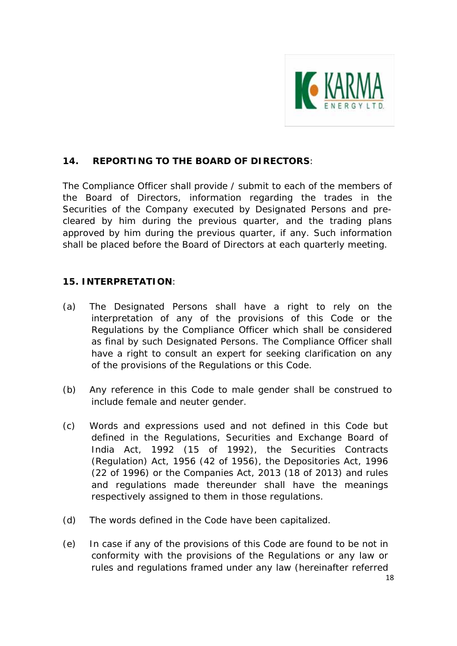

# **14. REPORTING TO THE BOARD OF DIRECTORS**:

The Compliance Officer shall provide / submit to each of the members of the Board of Directors, information regarding the trades in the Securities of the Company executed by Designated Persons and precleared by him during the previous quarter, and the trading plans approved by him during the previous quarter, if any. Such information shall be placed before the Board of Directors at each quarterly meeting.

### **15. INTERPRETATION**:

- (a) The Designated Persons shall have a right to rely on the interpretation of any of the provisions of this Code or the Regulations by the Compliance Officer which shall be considered as final by such Designated Persons. The Compliance Officer shall have a right to consult an expert for seeking clarification on any of the provisions of the Regulations or this Code.
- (b) Any reference in this Code to male gender shall be construed to include female and neuter gender.
- (c) Words and expressions used and not defined in this Code but defined in the Regulations, Securities and Exchange Board of India Act, 1992 (15 of 1992), the Securities Contracts (Regulation) Act, 1956 (42 of 1956), the Depositories Act, 1996 (22 of 1996) or the Companies Act, 2013 (18 of 2013) and rules and regulations made thereunder shall have the meanings respectively assigned to them in those regulations.
- (d) The words defined in the Code have been capitalized.
- (e) In case if any of the provisions of this Code are found to be not in conformity with the provisions of the Regulations or any law or rules and regulations framed under any law (hereinafter referred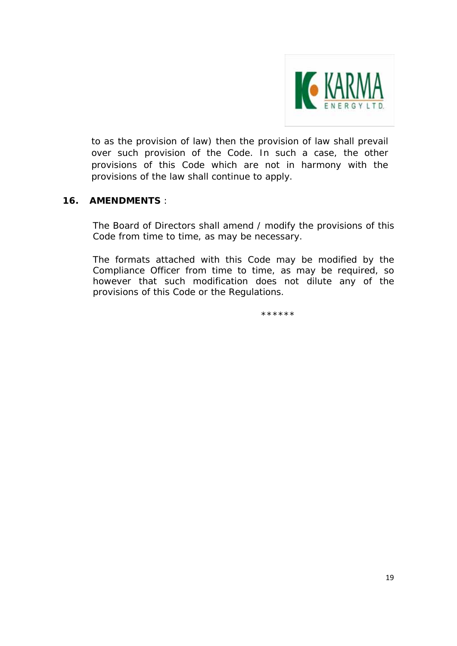

to as the provision of law) then the provision of law shall prevail over such provision of the Code. In such a case, the other provisions of this Code which are not in harmony with the provisions of the law shall continue to apply.

## **16. AMENDMENTS** :

The Board of Directors shall amend / modify the provisions of this Code from time to time, as may be necessary.

The formats attached with this Code may be modified by the Compliance Officer from time to time, as may be required, so however that such modification does not dilute any of the provisions of this Code or the Regulations.

\*\*\*\*\*\*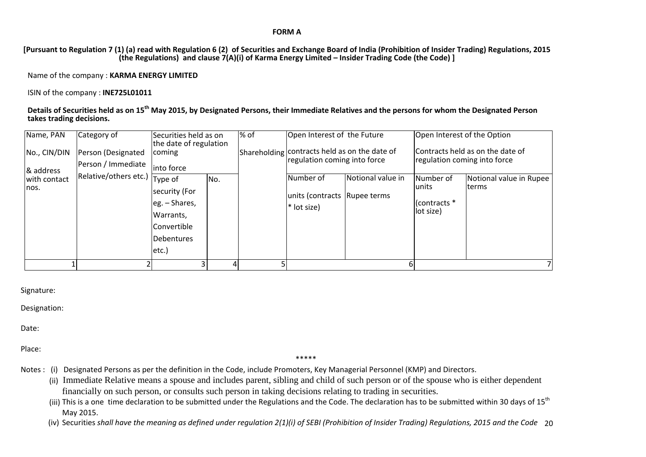#### **FORM A**

[Pursuant to Regulation 7 (1) (a) read with Regulation 6 (2) of Securities and Exchange Board of India (Prohibition of Insider Trading) Regulations, 2015 **(the Regulations) and clause 7(A)(i) of Karma Energy Limited – Insider Trading Code (the Code) ]**

Name of the company : **KARMA ENERGY LIMITED**

ISIN of the company : **INE725L01011**

Details of Securities held as on 15<sup>th</sup> May 2015, by Designated Persons, their Immediate Relatives and the persons for whom the Designated Person **takes trading decisions.**

| Name, PAN<br>No., CIN/DIN         | Category of<br>Person (Designated<br>Person / Immediate | Securities held as on<br>the date of regulation<br>coming<br>into force                             |     | % of | Open Interest of the Future<br>Shareholding contracts held as on the date of<br>regulation coming into force |                   | Open Interest of the Option<br>Contracts held as on the date of<br>regulation coming into force |                                   |  |
|-----------------------------------|---------------------------------------------------------|-----------------------------------------------------------------------------------------------------|-----|------|--------------------------------------------------------------------------------------------------------------|-------------------|-------------------------------------------------------------------------------------------------|-----------------------------------|--|
| & address<br>with contact<br>nos. | Relative/others etc.)                                   | Type of<br>security (For<br>eg. - Shares,<br>Warrants,<br>Convertible<br><b>Debentures</b><br>etc.) | No. |      | Number of<br>units (contracts Rupee terms<br>* lot size)                                                     | Notional value in | Number of<br><b>lunits</b><br>(contracts *<br>lot size)                                         | Notional value in Rupee<br>Iterms |  |
|                                   |                                                         |                                                                                                     |     |      |                                                                                                              |                   |                                                                                                 |                                   |  |

Signature:

Designation:

Date:

Place:

\*\*\*\*\*

- Notes : (i) Designated Persons as per the definition in the Code, include Promoters, Key Managerial Personnel (KMP) and Directors.
	- (ii) Immediate Relative means a spouse and includes parent, sibling and child of such person or of the spouse who is either dependent financially on such person, or consults such person in taking decisions relating to trading in securities.
	- (iii) This is a one time declaration to be submitted under the Regulations and the Code. The declaration has to be submitted within 30 days of 15<sup>th</sup> May 2015.
	- (iv) Securities shall have the meaning as defined under regulation 2(1)(i) of SEBI (Prohibition of Insider Trading) Regulations, 2015 and the Code 20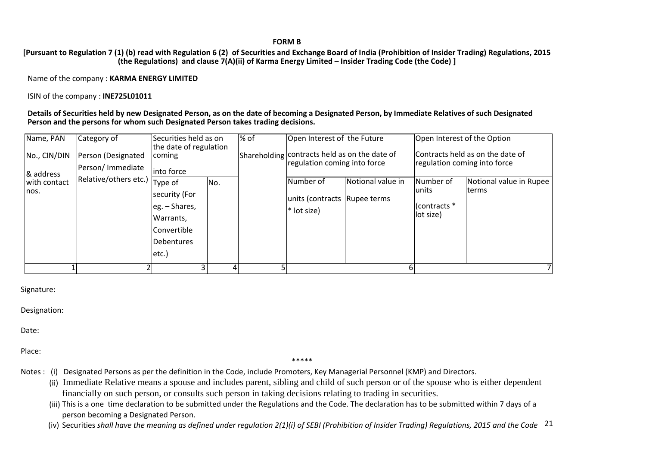#### **FORM B**

[Pursuant to Regulation 7 (1) (b) read with Regulation 6 (2) of Securities and Exchange Board of India (Prohibition of Insider Trading) Regulations, 2015 **(the Regulations) and clause 7(A)(ii) of Karma Energy Limited – Insider Trading Code (the Code) ]**

Name of the company : **KARMA ENERGY LIMITED**

ISIN of the company : **INE725L01011**

#### Details of Securities held by new Designated Person, as on the date of becoming a Designated Person, by Immediate Relatives of such Designated **Person and the persons for whom such Designated Person takes trading decisions.**

| Name, PAN                 | Category of                            | Securities held as on<br>the date of regulation                                                     |     | % of | Open Interest of the Future                                                   |                   |                                                                  | Open Interest of the Option              |  |  |
|---------------------------|----------------------------------------|-----------------------------------------------------------------------------------------------------|-----|------|-------------------------------------------------------------------------------|-------------------|------------------------------------------------------------------|------------------------------------------|--|--|
| No., CIN/DIN<br>& address | Person (Designated<br>Person/Immediate | coming<br>into force                                                                                |     |      | Shareholding contracts held as on the date of<br>regulation coming into force |                   | Contracts held as on the date of<br>regulation coming into force |                                          |  |  |
| with contact<br>nos.      | Relative/others etc.)                  | Type of<br>security (For<br>eg. - Shares,<br>Warrants,<br>Convertible<br><b>Debentures</b><br>etc.) | No. |      | Number of<br>units (contracts Rupee terms<br>* lot size)                      | Notional value in | Number of<br>lunits<br>(contracts *<br>lot size)                 | Notional value in Rupee<br><b>Iterms</b> |  |  |
|                           |                                        |                                                                                                     |     |      |                                                                               |                   |                                                                  |                                          |  |  |

Signature:

Designation:

Date:

Place:

#### \*\*\*\*\*

- Notes : (i) Designated Persons as per the definition in the Code, include Promoters, Key Managerial Personnel (KMP) and Directors.
	- (ii) Immediate Relative means a spouse and includes parent, sibling and child of such person or of the spouse who is either dependent financially on such person, or consults such person in taking decisions relating to trading in securities.
	- (iii) This is <sup>a</sup> one time declaration to be submitted under the Regulations and the Code. The declaration has to be submitted within 7 days of <sup>a</sup> person becoming <sup>a</sup> Designated Person.
	- (iv) Securities shall have the meaning as defined under regulation 2(1)(i) of SEBI (Prohibition of Insider Trading) Regulations, 2015 and the Code  $\,$   $^{21}$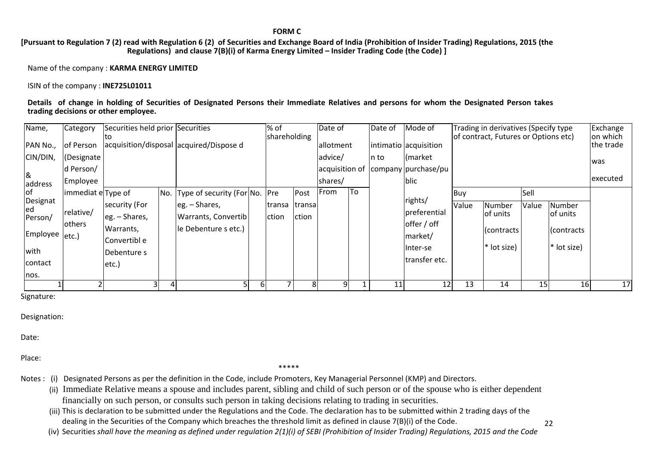**FORM C**

[Pursuant to Regulation 7 (2) read with Regulation 6 (2) of Securities and Exchange Board of India (Prohibition of Insider Trading) Regulations, 2015 (the **Regulations) and clause 7(B)(i) of Karma Energy Limited – Insider Trading Code (the Code) ]**

Name of the company : **KARMA ENERGY LIMITED**

ISIN of the company : **INE725L01011**

#### Details of change in holding of Securities of Designated Persons their Immediate Relatives and persons for whom the Designated Person takes **trading decisions or other employee.**

| Name,                                 | <b>Category</b>                      | Securities held prior Securities                              |                                                                 |    | % of<br>shareholding |                  | Date of        |    | Date of | Mode of                                                        | Trading in derivatives (Specify type<br>of contract, Futures or Options etc) |                                                   |       |                                                 |           |
|---------------------------------------|--------------------------------------|---------------------------------------------------------------|-----------------------------------------------------------------|----|----------------------|------------------|----------------|----|---------|----------------------------------------------------------------|------------------------------------------------------------------------------|---------------------------------------------------|-------|-------------------------------------------------|-----------|
| PAN No.,                              | of Person                            |                                                               | acquisition/disposal acquired/Dispose d                         |    |                      |                  | allotment      |    |         | intimatio acquisition                                          |                                                                              |                                                   |       |                                                 | the trade |
| CIN/DIN,                              | Designate                            |                                                               |                                                                 |    |                      |                  | advice/        |    | In to   | (market)                                                       |                                                                              |                                                   |       |                                                 | was       |
|                                       | d Person/                            |                                                               |                                                                 |    |                      |                  | acquisition of |    |         | company purchase/pu                                            |                                                                              |                                                   |       |                                                 |           |
| 8<br>address                          | Employee                             |                                                               |                                                                 |    |                      |                  | shares/        |    |         | blic                                                           |                                                                              |                                                   |       |                                                 | executed  |
| lof.                                  | immediat e Type of                   |                                                               | No. Type of security (For No. Pre                               |    |                      | Post             | From           | To |         |                                                                | Buy                                                                          |                                                   | Sell  |                                                 |           |
| Designat<br>ed<br>Person/<br>Employee | relative/<br><b>lothers</b><br>etc.) | security (For<br>$leg. - Shares,$<br>Warrants,<br>Convertible | $leg. - Shares,$<br>Warrants, Convertib<br>le Debenture s etc.) |    | transa<br>ction      | Itransa<br>ction |                |    |         | rights/<br>preferential<br>offer / off<br>market/<br>linter-se | Value                                                                        | Number<br>lof units<br>(contracts)<br>* lot size) | Value | Number<br>lof units<br>Contracts<br>* lot size) |           |
| with<br>contact                       |                                      | Debenture s<br>etc.)                                          |                                                                 |    |                      |                  |                |    |         | transfer etc.                                                  |                                                                              |                                                   |       |                                                 |           |
| nos.                                  |                                      |                                                               |                                                                 |    |                      |                  |                |    |         |                                                                |                                                                              |                                                   |       |                                                 |           |
|                                       |                                      | 31                                                            |                                                                 | 61 |                      |                  | 9              |    | 11      | 12                                                             | 13                                                                           | 14                                                | 15    | 16                                              | 17        |

î.

Signature:

Designation:

Date:

Place:

\*\*\*\*\*

Notes : (i) Designated Persons as per the definition in the Code, include Promoters, Key Managerial Personnel (KMP) and Directors.

(ii) Immediate Relative means a spouse and includes parent, sibling and child of such person or of the spouse who is either dependent financially on such person, or consults such person in taking decisions relating to trading in securities.

(iii) This is declaration to be submitted under the Regulations and the Code. The declaration has to be submitted within 2 trading days of the dealing in the Securities of the Company which breaches the threshold limit as defined in clause 7(B)(i) of the Code.

(iv) Securities shall have the meaning as defined under regulation 2(1)(i) of SEBI (Prohibition of Insider Trading) Regulations, 2015 and the Code

22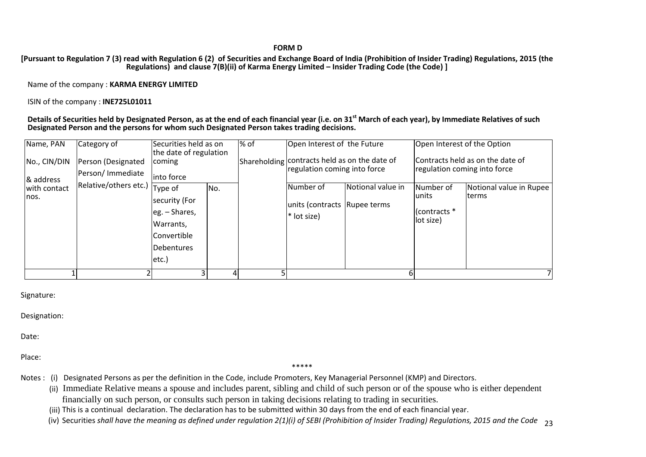#### **FORM D**

#### [Pursuant to Regulation 7 (3) read with Regulation 6 (2) of Securities and Exchange Board of India (Prohibition of Insider Trading) Regulations, 2015 (the **Regulations) and clause 7(B)(ii) of Karma Energy Limited – Insider Trading Code (the Code) ]**

Name of the company : **KARMA ENERGY LIMITED**

ISIN of the company : **INE725L01011**

Details of Securities held by Designated Person, as at the end of each financial year (i.e. on 31<sup>st</sup> March of each year), by Immediate Relatives of such **Designated Person and the persons for whom such Designated Person takes trading decisions.**

| Name, PAN                 | Category of                            | Securities held as on<br>the date of regulation                                                      |     | % of | Open Interest of the Future<br>Open Interest of the Option                    |                                                                               |                                                         |                                                                  |  |  |
|---------------------------|----------------------------------------|------------------------------------------------------------------------------------------------------|-----|------|-------------------------------------------------------------------------------|-------------------------------------------------------------------------------|---------------------------------------------------------|------------------------------------------------------------------|--|--|
| No., CIN/DIN<br>& address | Person (Designated<br>Person/Immediate | <b>coming</b><br>linto force                                                                         |     |      |                                                                               | Shareholding contracts held as on the date of<br>regulation coming into force |                                                         | Contracts held as on the date of<br>regulation coming into force |  |  |
| with contact<br>nos.      | Relative/others etc.)                  | Type of<br>security (For<br>leg. - Shares,<br>Warrants,<br><b>Convertible</b><br>Debentures<br>etc.) | No. |      | Notional value in<br>Number of<br>units (contracts Rupee terms<br>* lot size) |                                                                               | Number of<br><b>lunits</b><br>(contracts *<br>lot size) | Notional value in Rupee<br><b>Iterms</b>                         |  |  |
|                           |                                        |                                                                                                      |     |      |                                                                               |                                                                               |                                                         |                                                                  |  |  |

Signature:

Designation:

Date:

Place:

\*\*\*\*\*

- Notes : (i) Designated Persons as per the definition in the Code, include Promoters, Key Managerial Personnel (KMP) and Directors.
	- (ii) Immediate Relative means a spouse and includes parent, sibling and child of such person or of the spouse who is either dependent financially on such person, or consults such person in taking decisions relating to trading in securities.
	- (iii) This is <sup>a</sup> continual declaration. The declaration has to be submitted within 30 days from the end of each financial year.
	- (iv) Securities shall have the meaning as defined under regulation 2(1)(i) of SEBI (Prohibition of Insider Trading) Regulations, 2015 and the Code <sub>23</sub>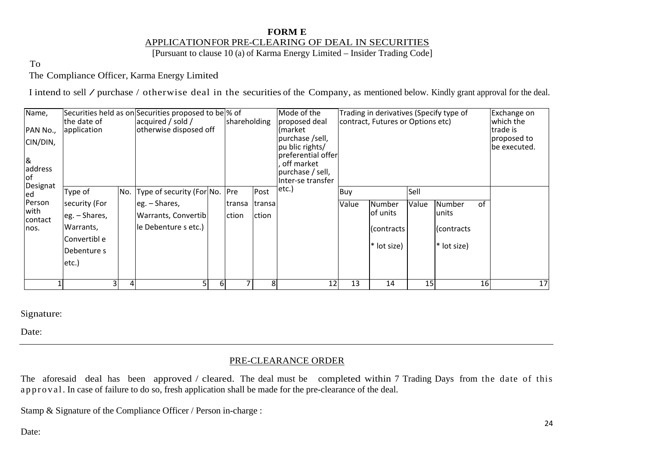## **FORM E** APPLICATIONFOR PRE-CLEARING OF DEAL IN SECURITIES

[Pursuant to clause 10 (a) of Karma Energy Limited – Insider Trading Code]

To

The Compliance Officer, Karma Energy Limited

I intend to sell / purchase / otherwise deal in the securities of the Company, as mentioned below. Kindly grant approval for the deal.

| Name,<br>PAN No.,<br>CIN/DIN,<br>8<br>address<br><b>of</b> | the date of<br>application |   | Securities held as on Securities proposed to be \% of<br>acquired / sold /<br>otherwise disposed off |    | shareholding |        | Mode of the<br>proposed deal<br>market <br>purchase /sell,<br>pu blic rights/<br>preferential offer<br>off market<br>purchase / sell,<br>Inter-se transfer |       | Trading in derivatives (Specify type of<br>contract, Futures or Options etc) | Exchange on<br>which the<br>trade is<br>proposed to<br>be executed. |               |    |    |
|------------------------------------------------------------|----------------------------|---|------------------------------------------------------------------------------------------------------|----|--------------|--------|------------------------------------------------------------------------------------------------------------------------------------------------------------|-------|------------------------------------------------------------------------------|---------------------------------------------------------------------|---------------|----|----|
| Designat<br>led                                            | Type of                    |   | No. Type of security (For No. Pre                                                                    |    |              | Post   | etc.)                                                                                                                                                      | Buy   |                                                                              | Sell                                                                |               |    |    |
| Person                                                     | security (For              |   | $\left  \right $ eg. – Shares,                                                                       |    | transa       | transa |                                                                                                                                                            | Value | <b>Number</b>                                                                | Value                                                               | <b>Number</b> | of |    |
| with<br>contact                                            | eg. - Shares,              |   | <b>Warrants, Convertib</b>                                                                           |    | ction        | ction  |                                                                                                                                                            |       | of units                                                                     |                                                                     | lunits        |    |    |
| nos.                                                       | Warrants,                  |   | le Debenture s etc.)                                                                                 |    |              |        |                                                                                                                                                            |       | Contracts                                                                    |                                                                     | (contracts)   |    |    |
|                                                            | Convertibl e               |   |                                                                                                      |    |              |        |                                                                                                                                                            |       | * lot size)                                                                  |                                                                     | * lot size)   |    |    |
|                                                            | Debenture s                |   |                                                                                                      |    |              |        |                                                                                                                                                            |       |                                                                              |                                                                     |               |    |    |
|                                                            | etc.                       |   |                                                                                                      |    |              |        |                                                                                                                                                            |       |                                                                              |                                                                     |               |    |    |
|                                                            |                            |   |                                                                                                      |    |              |        |                                                                                                                                                            |       |                                                                              |                                                                     |               |    |    |
|                                                            |                            | 4 |                                                                                                      | 61 |              | 8      | 12                                                                                                                                                         | 13    | 14                                                                           | 15                                                                  |               | 16 | 17 |

Signature:

Date:

### PRE-CLEARANCE ORDER

The aforesaid deal has been approved / cleared. The deal must be completed within 7 Trading Days from the date of this approval. In case of failure to do so, fresh application shall be made for the pre-clearance of the deal.

Stamp & Signature of the Compliance Officer / Person in-charge :

Date: